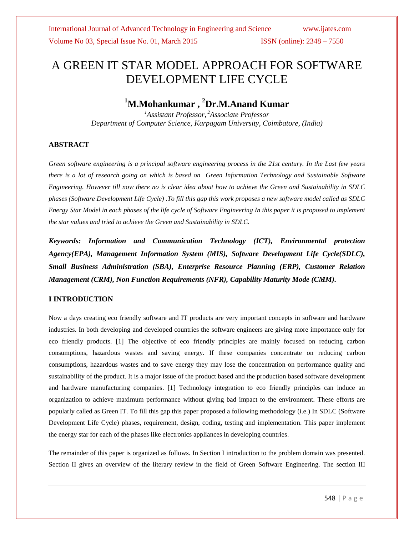# A GREEN IT STAR MODEL APPROACH FOR SOFTWARE DEVELOPMENT LIFE CYCLE

## **<sup>1</sup>M.Mohankumar , <sup>2</sup>Dr.M.Anand Kumar**

*<sup>1</sup>Assistant Professor, <sup>2</sup>Associate Professor Department of Computer Science, Karpagam University, Coimbatore, (India)*

### **ABSTRACT**

*Green software engineering is a principal software engineering process in the 21st century. In the Last few years there is a lot of research going on which is based on Green Information Technology and Sustainable Software Engineering. However till now there no is clear idea about how to achieve the Green and Sustainability in SDLC phases (Software Development Life Cycle) .To fill this gap this work proposes a new software model called as SDLC Energy Star Model in each phases of the life cycle of Software Engineering In this paper it is proposed to implement the star values and tried to achieve the Green and Sustainability in SDLC.*

*Keywords: Information and Communication Technology (ICT), Environmental protection Agency(EPA), Management Information System (MIS), Software Development Life Cycle(SDLC), Small Business Administration (SBA), Enterprise Resource Planning (ERP), Customer Relation Management (CRM), Non Function Requirements (NFR), Capability Maturity Mode (CMM).*

### **I INTRODUCTION**

Now a days creating eco friendly software and IT products are very important concepts in software and hardware industries. In both developing and developed countries the software engineers are giving more importance only for eco friendly products. [1] The objective of eco friendly principles are mainly focused on reducing carbon consumptions, hazardous wastes and saving energy. If these companies concentrate on reducing carbon consumptions, hazardous wastes and to save energy they may lose the concentration on performance quality and sustainability of the product. It is a major issue of the product based and the production based software development and hardware manufacturing companies. [1] Technology integration to eco friendly principles can induce an organization to achieve maximum performance without giving bad impact to the environment. These efforts are popularly called as Green IT. To fill this gap this paper proposed a following methodology (i.e.) In SDLC (Software Development Life Cycle) phases, requirement, design, coding, testing and implementation. This paper implement the energy star for each of the phases like electronics appliances in developing countries.

The remainder of this paper is organized as follows. In Section I introduction to the problem domain was presented. Section II gives an overview of the literary review in the field of Green Software Engineering. The section III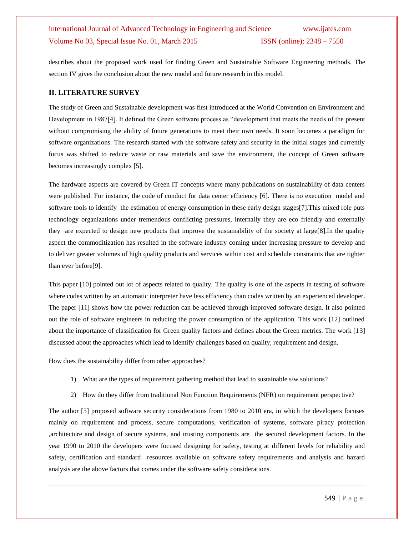describes about the proposed work used for finding Green and Sustainable Software Engineering methods. The section IV gives the conclusion about the new model and future research in this model.

#### **II. LITERATURE SURVEY**

The study of Green and Sustainable development was first introduced at the World Convention on Environment and Development in 1987[4]. It defined the Green software process as "development that meets the needs of the present without compromising the ability of future generations to meet their own needs. It soon becomes a paradigm for software organizations. The research started with the software safety and security in the initial stages and currently focus was shifted to reduce waste or raw materials and save the environment, the concept of Green software becomes increasingly complex [5].

The hardware aspects are covered by Green IT concepts where many publications on sustainability of data centers were published. For instance, the code of conduct for data center efficiency [6]. There is no execution model and software tools to identify the estimation of energy consumption in these early design stages[7].This mixed role puts technology organizations under tremendous conflicting pressures, internally they are eco friendly and externally they are expected to design new products that improve the sustainability of the society at large[8].In the quality aspect the commoditization has resulted in the software industry coming under increasing pressure to develop and to deliver greater volumes of high quality products and services within cost and schedule constraints that are tighter than ever before[9].

This paper [10] pointed out lot of aspects related to quality. The quality is one of the aspects in testing of software where codes written by an automatic interpreter have less efficiency than codes written by an experienced developer. The paper [11] shows how the power reduction can be achieved through improved software design. It also pointed out the role of software engineers in reducing the power consumption of the application. This work [12] outlined about the importance of classification for Green quality factors and defines about the Green metrics. The work [13] discussed about the approaches which lead to identify challenges based on quality, requirement and design.

How does the sustainability differ from other approaches?

- 1) What are the types of requirement gathering method that lead to sustainable s/w solutions?
- 2) How do they differ from traditional Non Function Requirements (NFR) on requirement perspective?

The author [5] proposed software security considerations from 1980 to 2010 era, in which the developers focuses mainly on requirement and process, secure computations, verification of systems, software piracy protection ,architecture and design of secure systems, and trusting components are the secured development factors. In the year 1990 to 2010 the developers were focused designing for safety, testing at different levels for reliability and safety, certification and standard resources available on software safety requirements and analysis and hazard analysis are the above factors that comes under the software safety considerations.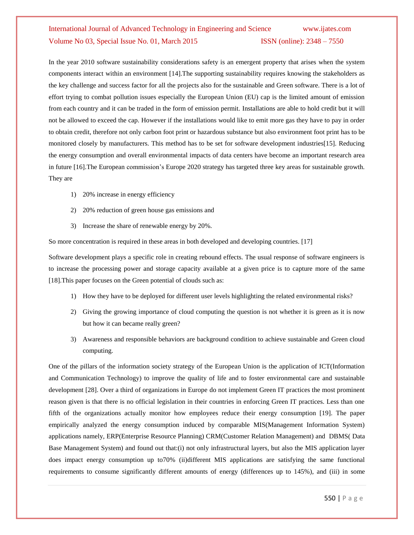In the year 2010 software sustainability considerations safety is an emergent property that arises when the system components interact within an environment [14].The supporting sustainability requires knowing the stakeholders as the key challenge and success factor for all the projects also for the sustainable and Green software. There is a lot of effort trying to combat pollution issues especially the European Union (EU) cap is the limited amount of emission from each country and it can be traded in the form of emission permit. Installations are able to hold credit but it will not be allowed to exceed the cap. However if the installations would like to emit more gas they have to pay in order to obtain credit, therefore not only carbon foot print or hazardous substance but also environment foot print has to be monitored closely by manufacturers. This method has to be set for software development industries[15]. Reducing the energy consumption and overall environmental impacts of data centers have become an important research area in future [16].The European commission's Europe 2020 strategy has targeted three key areas for sustainable growth. They are

- 1) 20% increase in energy efficiency
- 2) 20% reduction of green house gas emissions and
- 3) Increase the share of renewable energy by 20%.

So more concentration is required in these areas in both developed and developing countries. [17]

Software development plays a specific role in creating rebound effects. The usual response of software engineers is to increase the processing power and storage capacity available at a given price is to capture more of the same [18]. This paper focuses on the Green potential of clouds such as:

- 1) How they have to be deployed for different user levels highlighting the related environmental risks?
- 2) Giving the growing importance of cloud computing the question is not whether it is green as it is now but how it can became really green?
- 3) Awareness and responsible behaviors are background condition to achieve sustainable and Green cloud computing.

One of the pillars of the information society strategy of the European Union is the application of ICT(Information and Communication Technology) to improve the quality of life and to foster environmental care and sustainable development [28]. Over a third of organizations in Europe do not implement Green IT practices the most prominent reason given is that there is no official legislation in their countries in enforcing Green IT practices. Less than one fifth of the organizations actually monitor how employees reduce their energy consumption [19]. The paper empirically analyzed the energy consumption induced by comparable MIS(Management Information System) applications namely, ERP(Enterprise Resource Planning) CRM(Customer Relation Management) and DBMS( Data Base Management System) and found out that:(i) not only infrastructural layers, but also the MIS application layer does impact energy consumption up to70% (ii)different MIS applications are satisfying the same functional requirements to consume significantly different amounts of energy (differences up to 145%), and (iii) in some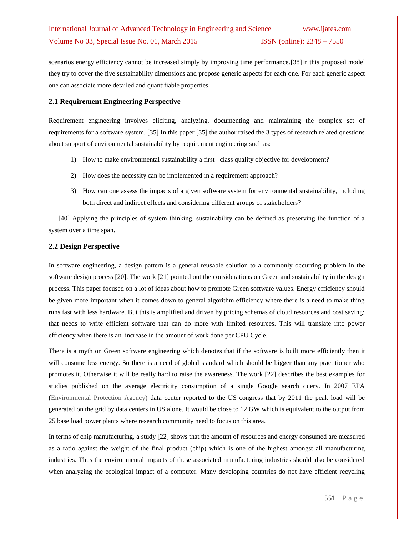scenarios energy efficiency cannot be increased simply by improving time performance.[38]In this proposed model they try to cover the five sustainability dimensions and propose generic aspects for each one. For each generic aspect one can associate more detailed and quantifiable properties.

#### **2.1 Requirement Engineering Perspective**

Requirement engineering involves eliciting, analyzing, documenting and maintaining the complex set of requirements for a software system. [35] In this paper [35] the author raised the 3 types of research related questions about support of environmental sustainability by requirement engineering such as:

- 1) How to make environmental sustainability a first –class quality objective for development?
- 2) How does the necessity can be implemented in a requirement approach?
- 3) How can one assess the impacts of a given software system for environmental sustainability, including both direct and indirect effects and considering different groups of stakeholders?

[40] Applying the principles of system thinking, sustainability can be defined as preserving the function of a system over a time span.

### **2.2 Design Perspective**

In software engineering, a design pattern is a general reusable solution to a commonly occurring problem in the software design process [20]. The work [21] pointed out the considerations on Green and sustainability in the design process. This paper focused on a lot of ideas about how to promote Green software values. Energy efficiency should be given more important when it comes down to general algorithm efficiency where there is a need to make thing runs fast with less hardware. But this is amplified and driven by pricing schemas of cloud resources and cost saving: that needs to write efficient software that can do more with limited resources. This will translate into power efficiency when there is an increase in the amount of work done per CPU Cycle.

There is a myth on Green software engineering which denotes that if the software is built more efficiently then it will consume less energy. So there is a need of global standard which should be bigger than any practitioner who promotes it. Otherwise it will be really hard to raise the awareness. The work [22] describes the best examples for studies published on the average electricity consumption of a single Google search query. In 2007 EPA (Environmental Protection Agency) data center reported to the US congress that by 2011 the peak load will be generated on the grid by data centers in US alone. It would be close to 12 GW which is equivalent to the output from 25 base load power plants where research community need to focus on this area.

In terms of chip manufacturing, a study [22] shows that the amount of resources and energy consumed are measured as a ratio against the weight of the final product (chip) which is one of the highest amongst all manufacturing industries. Thus the environmental impacts of these associated manufacturing industries should also be considered when analyzing the ecological impact of a computer. Many developing countries do not have efficient recycling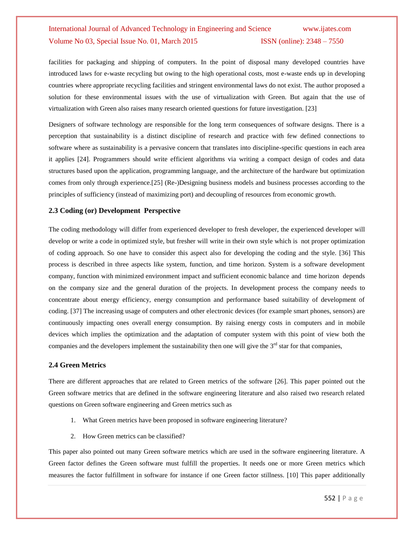facilities for packaging and shipping of computers. In the point of disposal many developed countries have introduced laws for e-waste recycling but owing to the high operational costs, most e-waste ends up in developing countries where appropriate recycling facilities and stringent environmental laws do not exist. The author proposed a solution for these environmental issues with the use of virtualization with Green. But again that the use of virtualization with Green also raises many research oriented questions for future investigation. [23]

Designers of software technology are responsible for the long term consequences of software designs. There is a perception that sustainability is a distinct discipline of research and practice with few defined connections to software where as sustainability is a pervasive concern that translates into discipline-specific questions in each area it applies [24]. Programmers should write efficient algorithms via writing a compact design of codes and data structures based upon the application, programming language, and the architecture of the hardware but optimization comes from only through experience.[25] (Re-)Designing business models and business processes according to the principles of sufficiency (instead of maximizing port) and decoupling of resources from economic growth.

#### **2.3 Coding (or) Development Perspective**

The coding methodology will differ from experienced developer to fresh developer, the experienced developer will develop or write a code in optimized style, but fresher will write in their own style which is not proper optimization of coding approach. So one have to consider this aspect also for developing the coding and the style. [36] This process is described in three aspects like system, function, and time horizon. System is a software development company, function with minimized environment impact and sufficient economic balance and time horizon depends on the company size and the general duration of the projects. In development process the company needs to concentrate about energy efficiency, energy consumption and performance based suitability of development of coding. [37] The increasing usage of computers and other electronic devices (for example smart phones, sensors) are continuously impacting ones overall energy consumption. By raising energy costs in computers and in mobile devices which implies the optimization and the adaptation of computer system with this point of view both the companies and the developers implement the sustainability then one will give the  $3<sup>rd</sup>$  star for that companies,

#### **2.4 Green Metrics**

There are different approaches that are related to Green metrics of the software [26]. This paper pointed out the Green software metrics that are defined in the software engineering literature and also raised two research related questions on Green software engineering and Green metrics such as

- 1. What Green metrics have been proposed in software engineering literature?
- 2. How Green metrics can be classified?

This paper also pointed out many Green software metrics which are used in the software engineering literature. A Green factor defines the Green software must fulfill the properties. It needs one or more Green metrics which measures the factor fulfillment in software for instance if one Green factor stillness. [10] This paper additionally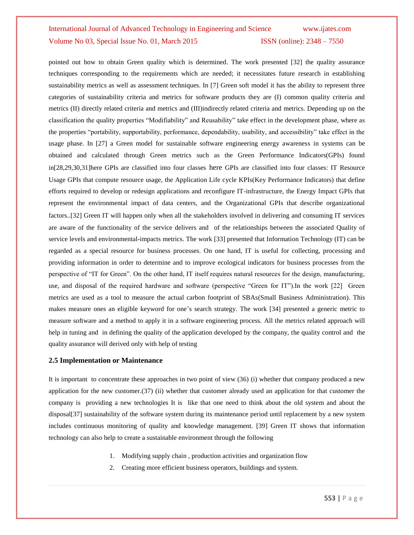pointed out how to obtain Green quality which is determined. The work presented [32] the quality assurance techniques corresponding to the requirements which are needed; it necessitates future research in establishing sustainability metrics as well as assessment techniques. In [7] Green soft model it has the ability to represent three categories of sustainability criteria and metrics for software products they are (I) common quality criteria and metrics (II) directly related criteria and metrics and (III)indirectly related criteria and metrics. Depending up on the classification the quality properties "Modifiability" and Reusability" take effect in the development phase, where as the properties "portability, supportability, performance, dependability, usability, and accessibility" take effect in the usage phase. In [27] a Green model for sustainable software engineering energy awareness in systems can be obtained and calculated through Green metrics such as the Green Performance Indicators(GPIs) found in[28,29,30,31]here GPIs are classified into four classes here GPIs are classified into four classes: IT Resource Usage GPIs that compute resource usage, the Application Life cycle KPIs(Key Performance Indicators) that define efforts required to develop or redesign applications and reconfigure IT-infrastructure, the Energy Impact GPIs that represent the environmental impact of data centers, and the Organizational GPIs that describe organizational factors..[32] Green IT will happen only when all the stakeholders involved in delivering and consuming IT services are aware of the functionality of the service delivers and of the relationships between the associated Quality of service levels and environmental-impacts metrics. The work [33] presented that Information Technology (IT) can be regarded as a special resource for business processes. On one hand, IT is useful for collecting, processing and providing information in order to determine and to improve ecological indicators for business processes from the perspective of "IT for Green". On the other hand, IT itself requires natural resources for the design, manufacturing, use, and disposal of the required hardware and software (perspective "Green for IT").In the work [22] Green metrics are used as a tool to measure the actual carbon footprint of SBAs(Small Business Administration). This makes measure ones an eligible keyword for one's search strategy. The work [34] presented a generic metric to measure software and a method to apply it in a software engineering process. All the metrics related approach will help in tuning and in defining the quality of the application developed by the company, the quality control and the quality assurance will derived only with help of testing

#### **2.5 Implementation or Maintenance**

It is important to concentrate these approaches in two point of view (36) (i) whether that company produced a new application for the new customer.(37) (ii) whether that customer already used an application for that customer the company is providing a new technologies It is like that one need to think about the old system and about the disposal[37] sustainability of the software system during its maintenance period until replacement by a new system includes continuous monitoring of quality and knowledge management. [39] Green IT shows that information technology can also help to create a sustainable environment through the following

- 1. Modifying supply chain , production activities and organization flow
- 2. Creating more efficient business operators, buildings and system.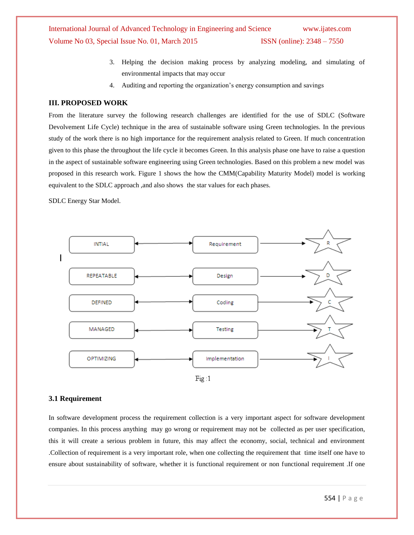- 3. Helping the decision making process by analyzing modeling, and simulating of environmental impacts that may occur
- 4. Auditing and reporting the organization's energy consumption and savings

#### **III. PROPOSED WORK**

From the literature survey the following research challenges are identified for the use of SDLC (Software Devolvement Life Cycle) technique in the area of sustainable software using Green technologies. In the previous study of the work there is no high importance for the requirement analysis related to Green. If much concentration given to this phase the throughout the life cycle it becomes Green. In this analysis phase one have to raise a question in the aspect of sustainable software engineering using Green technologies. Based on this problem a new model was proposed in this research work. Figure 1 shows the how the CMM(Capability Maturity Model) model is working equivalent to the SDLC approach ,and also shows the star values for each phases.

SDLC Energy Star Model.



#### **3.1 Requirement**

In software development process the requirement collection is a very important aspect for software development companies. In this process anything may go wrong or requirement may not be collected as per user specification, this it will create a serious problem in future, this may affect the economy, social, technical and environment .Collection of requirement is a very important role, when one collecting the requirement that time itself one have to ensure about sustainability of software, whether it is functional requirement or non functional requirement .If one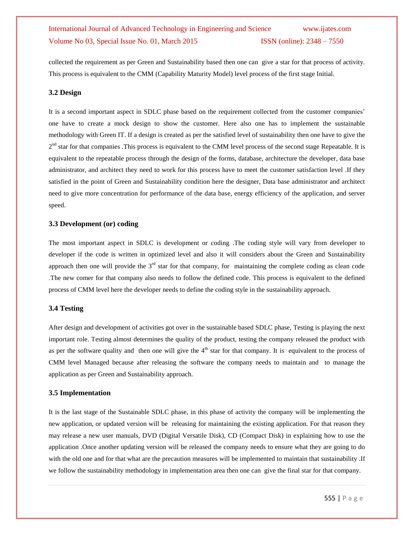collected the requirement as per Green and Sustainability based then one can give a star for that process of activity. This process is equivalent to the CMM (Capability Maturity Model) level process of the first stage Initial.

#### **3.2 Design**

It is a second important aspect in SDLC phase based on the requirement collected from the customer companies' one have to create a mock design to show the customer. Here also one has to implement the sustainable methodology with Green IT. If a design is created as per the satisfied level of sustainability then one have to give the  $2<sup>nd</sup>$  star for that companies . This process is equivalent to the CMM level process of the second stage Repeatable. It is equivalent to the repeatable process through the design of the forms, database, architecture the developer, data base administrator, and architect they need to work for this process have to meet the customer satisfaction level .If they satisfied in the point of Green and Sustainability condition here the designer, Data base administrator and architect need to give more concentration for performance of the data base, energy efficiency of the application, and server speed.

#### **3.3 Development (or) coding**

The most important aspect in SDLC is development or coding .The coding style will vary from developer to developer if the code is written in optimized level and also it will considers about the Green and Sustainability approach then one will provide the  $3<sup>rd</sup>$  star for that company, for maintaining the complete coding as clean code .The new comer for that company also needs to follow the defined code. This process is equivalent to the defined process of CMM level here the developer needs to define the coding style in the sustainability approach.

#### **3.4 Testing**

After design and development of activities got over in the sustainable based SDLC phase, Testing is playing the next important role. Testing almost determines the quality of the product, testing the company released the product with as per the software quality and then one will give the  $4<sup>th</sup>$  star for that company. It is equivalent to the process of CMM level Managed because after releasing the software the company needs to maintain and to manage the application as per Green and Sustainability approach.

#### **3.5 Implementation**

It is the last stage of the Sustainable SDLC phase, in this phase of activity the company will be implementing the new application, or updated version will be releasing for maintaining the existing application. For that reason they may release a new user manuals, DVD (Digital Versatile Disk), CD (Compact Disk) in explaining how to use the application .Once another updating version will be released the company needs to ensure what they are going to do with the old one and for that what are the precaution measures will be implemented to maintain that sustainability .If we follow the sustainability methodology in implementation area then one can give the final star for that company.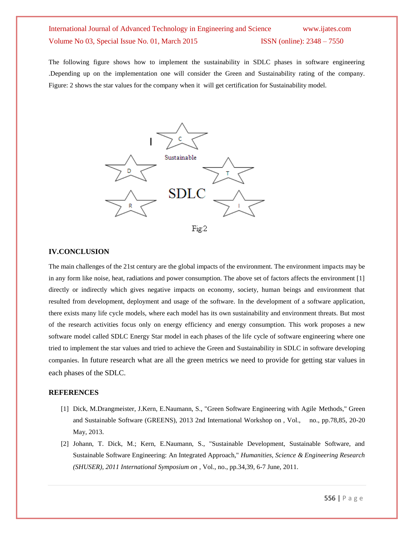The following figure shows how to implement the sustainability in SDLC phases in software engineering .Depending up on the implementation one will consider the Green and Sustainability rating of the company. Figure: 2 shows the star values for the company when it will get certification for Sustainability model.



#### **IV.CONCLUSION**

The main challenges of the 21st century are the global impacts of the environment. The environment impacts may be in any form like noise, heat, radiations and power consumption. The above set of factors affects the environment [1] directly or indirectly which gives negative impacts on economy, society, human beings and environment that resulted from development, deployment and usage of the software. In the development of a software application, there exists many life cycle models, where each model has its own sustainability and environment threats. But most of the research activities focus only on energy efficiency and energy consumption. This work proposes a new software model called SDLC Energy Star model in each phases of the life cycle of software engineering where one tried to implement the star values and tried to achieve the Green and Sustainability in SDLC in software developing companies. In future research what are all the green metrics we need to provide for getting star values in each phases of the SDLC.

#### **REFERENCES**

- [1] Dick, M.Drangmeister, J.Kern, E.Naumann, S., "Green Software Engineering with Agile Methods," Green and Sustainable Software (GREENS), 2013 2nd International Workshop on , Vol., no., pp.78,85, 20-20 May, 2013.
- [2] Johann, T. Dick, M.; Kern, E.Naumann, S., "Sustainable Development, Sustainable Software, and Sustainable Software Engineering: An Integrated Approach," *Humanities, Science & Engineering Research (SHUSER), 2011 International Symposium on* , Vol., no., pp.34,39, 6-7 June, 2011.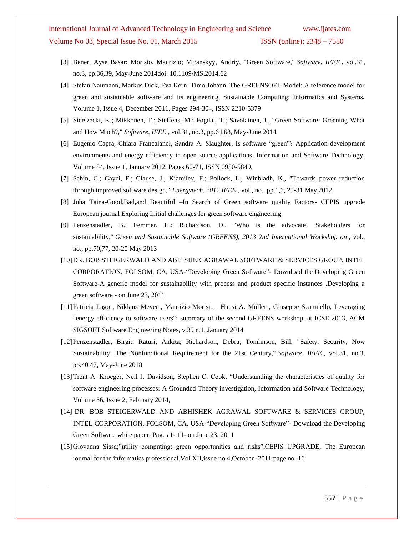- [3] Bener, Ayse Basar; Morisio, Maurizio; Miranskyy, Andriy, "Green Software," *Software, IEEE* , vol.31, no.3, pp.36,39, May-June 2014doi: 10.1109/MS.2014.62
- [4] Stefan Naumann, Markus Dick, Eva Kern, Timo Johann, The GREENSOFT Model: A reference model for green and sustainable software and its engineering, Sustainable Computing: Informatics and Systems, Volume 1, Issue 4, December 2011, Pages 294-304, ISSN 2210-5379
- [5] Sierszecki, K.; Mikkonen, T.; Steffens, M.; Fogdal, T.; Savolainen, J., "Green Software: Greening What and How Much?," *Software, IEEE* , vol.31, no.3, pp.64,68, May-June 2014
- [6] Eugenio Capra, Chiara Francalanci, Sandra A. Slaughter, Is software "green"? Application development environments and energy efficiency in open source applications, Information and Software Technology, Volume 54, Issue 1, January 2012, Pages 60-71, ISSN 0950-5849,
- [7] Sahin, C.; Cayci, F.; Clause, J.; Kiamilev, F.; Pollock, L.; Winbladh, K., "Towards power reduction through improved software design," *Energytech, 2012 IEEE* , vol., no., pp.1,6, 29-31 May 2012.
- [8] Juha Taina-Good,Bad,and Beautiful –In Search of Green software quality Factors- CEPIS upgrade European journal Exploring Initial challenges for green software engineering
- [9] Penzenstadler, B.; Femmer, H.; Richardson, D., "Who is the advocate? Stakeholders for sustainability," *Green and Sustainable Software (GREENS), 2013 2nd International Workshop on* , vol., no., pp.70,77, 20-20 May 2013
- [10]DR. BOB STEIGERWALD AND ABHISHEK AGRAWAL SOFTWARE & SERVICES GROUP, INTEL CORPORATION, FOLSOM, CA, USA-"Developing Green Software"- Download the [Developing Green](https://software.intel.com/sites/default/files/developing_green_software.pdf)  [Software-](https://software.intel.com/sites/default/files/developing_green_software.pdf)A generic model for sustainability with process and product specific instances .Developing a green software - on June 23, 2011
- [11]Patricia Lago , Niklaus Meyer , Maurizio Morisio , Hausi A. Müller , Giuseppe Scanniello, Leveraging "energy efficiency to software users": summary of the second GREENS workshop, at ICSE 2013, ACM SIGSOFT Software Engineering Notes, v.39 n.1, January 2014
- [12]Penzenstadler, Birgit; Raturi, Ankita; Richardson, Debra; Tomlinson, Bill, "Safety, Security, Now Sustainability: The Nonfunctional Requirement for the 21st Century," *Software, IEEE* , vol.31, no.3, pp.40,47, May-June 2018
- [13]Trent A. Kroeger, Neil J. Davidson, Stephen C. Cook, "Understanding the characteristics of quality for software engineering processes: A Grounded Theory investigation, Information and Software Technology, Volume 56, Issue 2, February 2014,
- [14] DR. BOB STEIGERWALD AND ABHISHEK AGRAWAL SOFTWARE & SERVICES GROUP, INTEL CORPORATION, FOLSOM, CA, USA-"Developing Green Software"- Download the [Developing](https://software.intel.com/sites/default/files/developing_green_software.pdf)  [Green Software](https://software.intel.com/sites/default/files/developing_green_software.pdf) white paper. Pages 1- 11- on June 23, 2011
- [15]Giovanna Sissa;"utility computing: green opportunities and risks",CEPIS UPGRADE, The European journal for the informatics professional,Vol.XII,issue no.4,October -2011 page no :16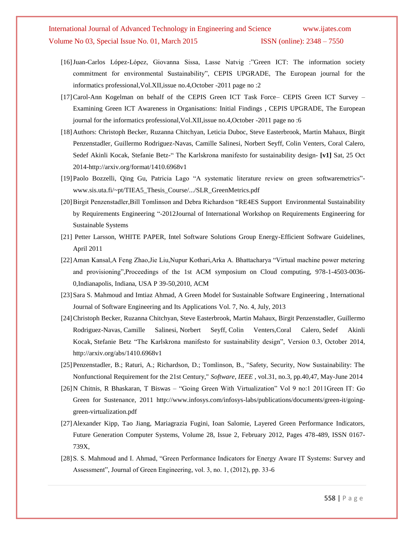- [16]Juan-Carlos López-López, Giovanna Sissa, Lasse Natvig :"Green ICT: The information society commitment for environmental Sustainability", CEPIS UPGRADE, The European journal for the informatics professional,Vol.XII,issue no.4,October -2011 page no :2
- [17]Carol-Ann Kogelman on behalf of the CEPIS Green ICT Task Force– CEPIS Green ICT Survey Examining Green ICT Awareness in Organisations: Initial Findings , CEPIS UPGRADE, The European journal for the informatics professional,Vol.XII,issue no.4,October -2011 page no :6
- [18]Authors: Christoph Becker, [Ruzanna Chitchyan,](http://arxiv.org/find/cs/1/au:+Chitchyan_R/0/1/0/all/0/1) Leticia Duboc, Steve Easterbrook, Martin Mahaux, Birgit Penzenstadler, Guillermo Rodriguez-Navas, Camille Salinesi, Norbert Seyff, Colin Venters, Coral Calero, Sedef Akinli Kocak, [Stefanie Betz-](http://arxiv.org/find/cs/1/au:+Betz_S/0/1/0/all/0/1)" The Karlskrona manifesto for sustainability design- **[v1]** Sat, 25 Oct 2014[-http://arxiv.org/format/1410.6968v1](http://arxiv.org/format/1410.6968v1)
- [19]Paolo Bozzelli, Qing Gu, Patricia Lago "A systematic literature review on green softwaremetrics" www.sis.uta.fi/~pt/TIEA5\_Thesis\_Course/.../SLR\_GreenMetrics.pdf
- [20]Birgit Penzenstadler,Bill Tomlinson and Debra Richardson "RE4ES Support Environmental Sustainability by Requirements Engineering "-2012Journal of International Workshop on Requirements Engineering for Sustainable Systems
- [21] Petter Larsson, WHITE PAPER, Intel Software Solutions Group Energy-Efficient Software Guidelines, April 2011
- [22]Aman Kansal,A Feng Zhao,Jie Liu,Nupur Kothari,Arka A. Bhattacharya "Virtual machine power metering and provisioning",Proceedings of the 1st ACM symposium on Cloud computing, 978-1-4503-0036- 0,Indianapolis, Indiana, USA P 39-50,2010, ACM
- [23]Sara S. Mahmoud and Imtiaz Ahmad, A Green Model for Sustainable Software Engineering , International Journal of Software Engineering and Its Applications Vol. 7, No. 4, July, 2013
- [24]Christoph Becker, Ruzanna Chitchyan, Steve Easterbrook, Martin Mahaux, Birgit Penzenstadler, Guillermo Rodriguez-Navas, Camille Salinesi, Norbert Seyff, Colin Venter[s,Coral Calero,](http://arxiv.org/find/cs/1/au:+Calero_C/0/1/0/all/0/1) [Sedef Akinli](http://arxiv.org/find/cs/1/au:+Kocak_S/0/1/0/all/0/1)  [Kocak,](http://arxiv.org/find/cs/1/au:+Kocak_S/0/1/0/all/0/1) [Stefanie Betz](http://arxiv.org/find/cs/1/au:+Betz_S/0/1/0/all/0/1) "The Karlskrona manifesto for sustainability design", Version 0.3, October 2014, http://arxiv.org/abs/1410.6968v1
- [25]Penzenstadler, B.; Raturi, A.; Richardson, D.; Tomlinson, B., "Safety, Security, Now Sustainability: The Nonfunctional Requirement for the 21st Century," *Software, IEEE* , vol.31, no.3, pp.40,47, May-June 2014
- [26]N Chitnis, R Bhaskaran, T Biswas "Going Green With Virtualization" Vol 9 no:1 2011Green IT: Go Green for Sustenance, 2011 http://www.infosys.com/infosys-labs/publications/documents/green-it/goinggreen-virtualization.pdf
- [27]Alexander Kipp, Tao Jiang, Mariagrazia Fugini, Ioan Salomie, Layered Green Performance Indicators, Future Generation Computer Systems, Volume 28, Issue 2, February 2012, Pages 478-489, ISSN 0167- 739X,
- [28] S. S. Mahmoud and I. Ahmad, "Green Performance Indicators for Energy Aware IT Systems: Survey and Assessment", Journal of Green Engineering, vol. 3, no. 1, (2012), pp. 33-6